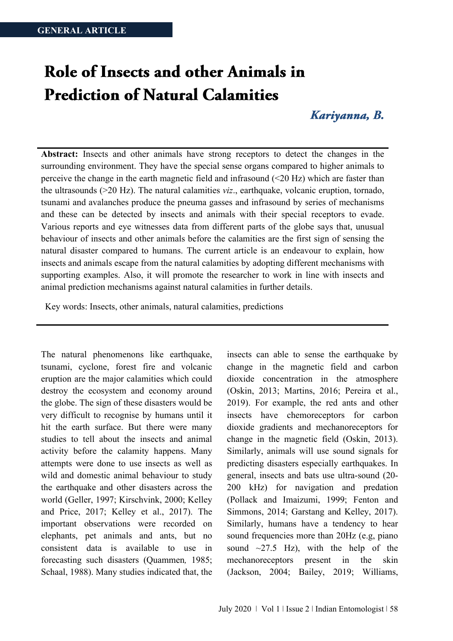# Role of Insects and other Animals in **Prediction of Natural Calamities**

## Kariyanna, B.

**Abstract:** Insects and other animals have strong receptors to detect the changes in the surrounding environment. They have the special sense organs compared to higher animals to perceive the change in the earth magnetic field and infrasound (<20 Hz) which are faster than the ultrasounds (>20 Hz). The natural calamities *viz*., earthquake, volcanic eruption, tornado, tsunami and avalanches produce the pneuma gasses and infrasound by series of mechanisms and these can be detected by insects and animals with their special receptors to evade. Various reports and eye witnesses data from different parts of the globe says that, unusual behaviour of insects and other animals before the calamities are the first sign of sensing the natural disaster compared to humans. The current article is an endeavour to explain, how insects and animals escape from the natural calamities by adopting different mechanisms with supporting examples. Also, it will promote the researcher to work in line with insects and animal prediction mechanisms against natural calamities in further details.

Key words: Insects, other animals, natural calamities, predictions

The natural phenomenons like earthquake, tsunami, cyclone, forest fire and volcanic eruption are the major calamities which could destroy the ecosystem and economy around the globe. The sign of these disasters would be very difficult to recognise by humans until it hit the earth surface. But there were many studies to tell about the insects and animal activity before the calamity happens. Many attempts were done to use insects as well as wild and domestic animal behaviour to study the earthquake and other disasters across the world (Geller, 1997; Kirschvink, 2000; Kelley and Price, 2017; Kelley et al., 2017). The important observations were recorded on elephants, pet animals and ants, but no consistent data is available to use in forecasting such disasters (Quammen*,* 1985; Schaal, 1988). Many studies indicated that, the

insects can able to sense the earthquake by change in the magnetic field and carbon dioxide concentration in the atmosphere (Oskin, 2013; Martins, 2016; Pereira et al., 2019). For example, the red ants and other insects have chemoreceptors for carbon dioxide gradients and mechanoreceptors for change in the magnetic field (Oskin, 2013). Similarly, animals will use sound signals for predicting disasters especially earthquakes. In general, insects and bats use ultra-sound (20- 200 kHz) for navigation and predation (Pollack and Imaizumi, 1999; Fenton and Simmons, 2014; Garstang and Kelley, 2017). Similarly, humans have a tendency to hear sound frequencies more than 20Hz (e.g, piano sound  $\sim$ 27.5 Hz), with the help of the mechanoreceptors present in the skin (Jackson, 2004; Bailey, 2019; Williams,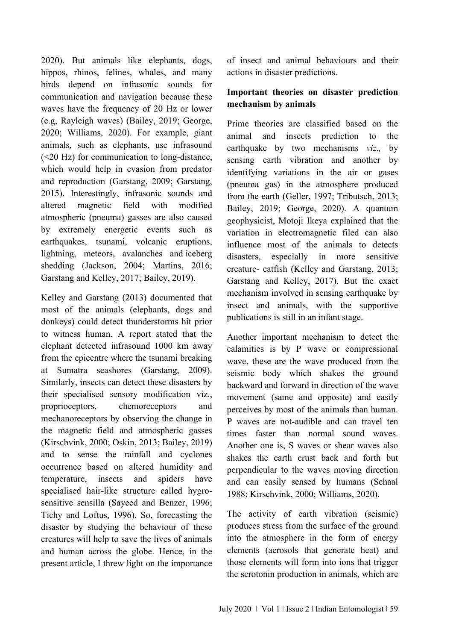2020). But animals like elephants, dogs, hippos, rhinos, felines, whales, and many birds depend on infrasonic sounds for communication and navigation because these waves have the frequency of 20 Hz or lower (e.g, Rayleigh waves) (Bailey, 2019; George, 2020; Williams, 2020). For example, giant animals, such as elephants, use infrasound (<20 Hz) for communication to long-distance, which would help in evasion from predator and reproduction (Garstang, 2009; Garstang, 2015). Interestingly, infrasonic sounds and altered magnetic field with modified atmospheric (pneuma) gasses are also caused by extremely energetic events such as earthquakes, tsunami, volcanic eruptions, lightning, meteors, avalanches and iceberg shedding (Jackson, 2004; Martins, 2016; Garstang and Kelley, 2017; Bailey, 2019).

Kelley and Garstang (2013) documented that most of the animals (elephants, dogs and donkeys) could detect thunderstorms hit prior to witness human. A report stated that the elephant detected infrasound 1000 km away from the epicentre where the tsunami breaking at Sumatra seashores (Garstang, 2009). Similarly, insects can detect these disasters by their specialised sensory modification viz., proprioceptors, chemoreceptors and mechanoreceptors by observing the change in the magnetic field and atmospheric gasses (Kirschvink, 2000; Oskin, 2013; Bailey, 2019) and to sense the rainfall and cyclones occurrence based on altered humidity and temperature, insects and spiders have specialised hair-like structure called hygrosensitive sensilla (Sayeed and Benzer, 1996; Tichy and Loftus, 1996). So, forecasting the disaster by studying the behaviour of these creatures will help to save the lives of animals and human across the globe. Hence, in the present article, I threw light on the importance

of insect and animal behaviours and their actions in disaster predictions.

## **Important theories on disaster prediction mechanism by animals**

Prime theories are classified based on the animal and insects prediction to the earthquake by two mechanisms *viz.,* by sensing earth vibration and another by identifying variations in the air or gases (pneuma gas) in the atmosphere produced from the earth (Geller, 1997; Tributsch, 2013; Bailey, 2019; George, 2020). A quantum geophysicist, Motoji Ikeya explained that the variation in electromagnetic filed can also influence most of the animals to detects disasters, especially in more sensitive creature- catfish (Kelley and Garstang, 2013; Garstang and Kelley, 2017). But the exact mechanism involved in sensing earthquake by insect and animals, with the supportive publications is still in an infant stage.

Another important mechanism to detect the calamities is by P wave or compressional wave, these are the wave produced from the seismic body which shakes the ground backward and forward in direction of the wave movement (same and opposite) and easily perceives by most of the animals than human. P waves are not-audible and can travel ten times faster than normal sound waves. Another one is, S waves or shear waves also shakes the earth crust back and forth but perpendicular to the waves moving direction and can easily sensed by humans (Schaal 1988; Kirschvink, 2000; Williams, 2020).

The activity of earth vibration (seismic) produces stress from the surface of the ground into the atmosphere in the form of energy elements (aerosols that generate heat) and those elements will form into ions that trigger the serotonin production in animals, which are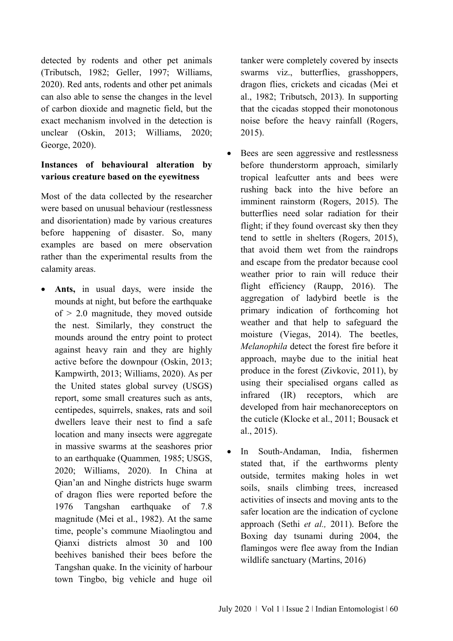detected by rodents and other pet animals (Tributsch, 1982; Geller, 1997; Williams, 2020). Red ants, rodents and other pet animals can also able to sense the changes in the level of carbon dioxide and magnetic field, but the exact mechanism involved in the detection is unclear (Oskin, 2013; Williams, 2020; George, 2020).

## **Instances of behavioural alteration by various creature based on the eyewitness**

Most of the data collected by the researcher were based on unusual behaviour (restlessness and disorientation) made by various creatures before happening of disaster. So, many examples are based on mere observation rather than the experimental results from the calamity areas.

• **Ants,** in usual days, were inside the mounds at night, but before the earthquake of  $> 2.0$  magnitude, they moved outside the nest. Similarly, they construct the mounds around the entry point to protect against heavy rain and they are highly active before the downpour (Oskin, 2013; Kampwirth, 2013; Williams, 2020). As per the United states global survey (USGS) report, some small creatures such as ants, centipedes, squirrels, snakes, rats and soil dwellers leave their nest to find a safe location and many insects were aggregate in massive swarms at the seashores prior to an earthquake (Quammen*,* 1985; USGS, 2020; Williams, 2020). In China at Qian'an and Ninghe districts huge swarm of dragon flies were reported before the 1976 Tangshan earthquake of 7.8 magnitude (Mei et al., 1982). At the same time, people's commune Miaolingtou and Qianxi districts almost 30 and 100 beehives banished their bees before the Tangshan quake. In the vicinity of harbour town Tingbo, big vehicle and huge oil tanker were completely covered by insects swarms viz., butterflies, grasshoppers, dragon flies, crickets and cicadas (Mei et al., 1982; Tributsch, 2013). In supporting that the cicadas stopped their monotonous noise before the heavy rainfall (Rogers, 2015).

- Bees are seen aggressive and restlessness before thunderstorm approach, similarly tropical leafcutter ants and bees were rushing back into the hive before an imminent rainstorm (Rogers, 2015). The butterflies need solar radiation for their flight; if they found overcast sky then they tend to settle in shelters (Rogers, 2015), that avoid them wet from the raindrops and escape from the predator because cool weather prior to rain will reduce their flight efficiency (Raupp, 2016). The aggregation of ladybird beetle is the primary indication of forthcoming hot weather and that help to safeguard the moisture (Viegas, 2014). The beetles, *Melanophila* detect the forest fire before it approach, maybe due to the initial heat produce in the forest (Zivkovic, 2011), by using their specialised organs called as infrared (IR) receptors, which are developed from hair mechanoreceptors on the cuticle (Klocke et al., 2011; Bousack et al., 2015).
- In South-Andaman, India, fishermen stated that, if the earthworms plenty outside, termites making holes in wet soils, snails climbing trees, increased activities of insects and moving ants to the safer location are the indication of cyclone approach (Sethi *et al.,* 2011). Before the Boxing day tsunami during 2004, the flamingos were flee away from the Indian wildlife sanctuary (Martins, 2016)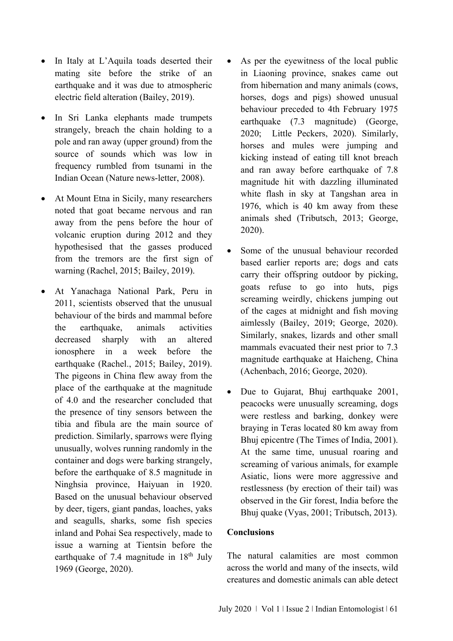- In Italy at L'Aquila toads deserted their mating site before the strike of an earthquake and it was due to atmospheric electric field alteration (Bailey, 2019).
- In Sri Lanka elephants made trumpets strangely, breach the chain holding to a pole and ran away (upper ground) from the source of sounds which was low in frequency rumbled from tsunami in the Indian Ocean (Nature news-letter, 2008).
- At Mount Etna in Sicily, many researchers noted that goat became nervous and ran away from the pens before the hour of volcanic eruption during 2012 and they hypothesised that the gasses produced from the tremors are the first sign of warning (Rachel, 2015; Bailey, 2019).
- At Yanachaga National Park, Peru in 2011, scientists observed that the unusual behaviour of the birds and mammal before the earthquake, animals activities decreased sharply with an altered ionosphere in a week before the earthquake (Rachel., 2015; Bailey, 2019). The pigeons in China flew away from the place of the earthquake at the magnitude of 4.0 and the researcher concluded that the presence of tiny sensors between the tibia and fibula are the main source of prediction. Similarly, sparrows were flying unusually, wolves running randomly in the container and dogs were barking strangely, before the earthquake of 8.5 magnitude in Ninghsia province, Haiyuan in 1920. Based on the unusual behaviour observed by deer, tigers, giant pandas, loaches, yaks and seagulls, sharks, some fish species inland and Pohai Sea respectively, made to issue a warning at Tientsin before the earthquake of 7.4 magnitude in  $18<sup>th</sup>$  July 1969 (George, 2020).
- As per the eyewitness of the local public in Liaoning province, snakes came out from hibernation and many animals (cows, horses, dogs and pigs) showed unusual behaviour preceded to 4th February 1975 earthquake (7.3 magnitude) (George, 2020; Little Peckers, 2020). Similarly, horses and mules were jumping and kicking instead of eating till knot breach and ran away before earthquake of 7.8 magnitude hit with dazzling illuminated white flash in sky at Tangshan area in 1976, which is 40 km away from these animals shed (Tributsch, 2013; George, 2020).
- Some of the unusual behaviour recorded based earlier reports are; dogs and cats carry their offspring outdoor by picking, goats refuse to go into huts, pigs screaming weirdly, chickens jumping out of the cages at midnight and fish moving aimlessly (Bailey, 2019; George, 2020). Similarly, snakes, lizards and other small mammals evacuated their nest prior to 7.3 magnitude earthquake at Haicheng, China (Achenbach, 2016; George, 2020).
- Due to Gujarat, Bhuj earthquake 2001, peacocks were unusually screaming, dogs were restless and barking, donkey were braying in Teras located 80 km away from Bhuj epicentre (The Times of India, 2001). At the same time, unusual roaring and screaming of various animals, for example Asiatic, lions were more aggressive and restlessness (by erection of their tail) was observed in the Gir forest, India before the Bhuj quake (Vyas, 2001; Tributsch, 2013).

### **Conclusions**

The natural calamities are most common across the world and many of the insects, wild creatures and domestic animals can able detect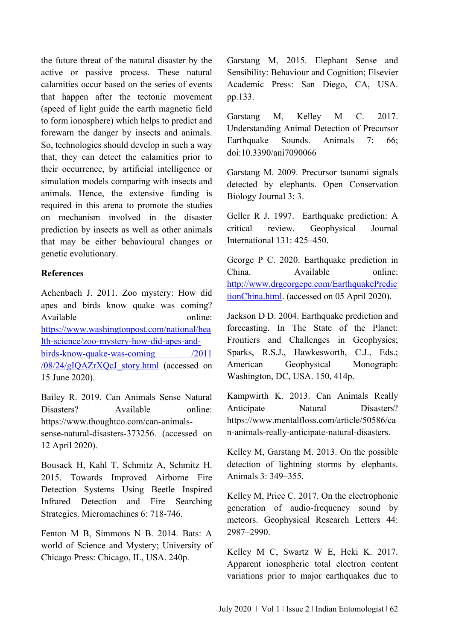the future threat of the natural disaster by the active or passive process. These natural calamities occur based on the series of events that happen after the tectonic movement (speed of light guide the earth magnetic field to form ionosphere) which helps to predict and forewarn the danger by insects and animals. So, technologies should develop in such a way that, they can detect the calamities prior to their occurrence, by artificial intelligence or simulation models comparing with insects and animals. Hence, the extensive funding is required in this arena to promote the studies on mechanism involved in the disaster prediction by insects as well as other animals that may be either behavioural changes or genetic evolutionary.

### **References**

Achenbach J. 2011. Zoo mystery: How did apes and birds know quake was coming? Available online: [https://www.washingtonpost.com/national/hea](https://www.washingtonpost.com/national/health-science/zoo-mystery-how-did-apes-and-birds-know-quake-was-coming%20/2011%20/08/24/gIQAZrXQcJ_story.html) [lth-science/zoo-mystery-how-did-apes-and](https://www.washingtonpost.com/national/health-science/zoo-mystery-how-did-apes-and-birds-know-quake-was-coming%20/2011%20/08/24/gIQAZrXQcJ_story.html)birds-know-quake-was-coming /2011 [/08/24/gIQAZrXQcJ\\_story.html](https://www.washingtonpost.com/national/health-science/zoo-mystery-how-did-apes-and-birds-know-quake-was-coming%20/2011%20/08/24/gIQAZrXQcJ_story.html) (accessed on 15 June 2020).

Bailey R. 2019. Can Animals Sense Natural Disasters? Available online: https://www.thoughtco.com/can-animalssense-natural-disasters-373256. (accessed on 12 April 2020).

Bousack H, Kahl T, Schmitz A, Schmitz H. 2015. Towards Improved Airborne Fire Detection Systems Using Beetle Inspired Infrared Detection and Fire Searching Strategies. Micromachines 6: 718-746.

Fenton M B, Simmons N B. 2014. Bats: A world of Science and Mystery; University of Chicago Press: Chicago, IL, USA. 240p.

Garstang M, 2015. Elephant Sense and Sensibility: Behaviour and Cognition; Elsevier Academic Press: San Diego, CA, USA. pp.133.

Garstang M, Kelley M C. 2017. Understanding Animal Detection of Precursor Earthquake Sounds. Animals 7: 66; doi:10.3390/ani7090066

Garstang M. 2009. Precursor tsunami signals detected by elephants. Open Conservation Biology Journal 3: 3.

Geller R J. 1997. Earthquake prediction: A critical review. Geophysical Journal International 131: 425–450.

George P C. 2020. Earthquake prediction in China. Available online: [http://www.drgeorgepc.com/EarthquakePredic](http://www.drgeorgepc.com/EarthquakePredictionChina.html) [tionChina.html.](http://www.drgeorgepc.com/EarthquakePredictionChina.html) (accessed on 05 April 2020).

Jackson D D. 2004. Earthquake prediction and forecasting. In The State of the Planet: Frontiers and Challenges in Geophysics; Sparks, R.S.J., Hawkesworth, C.J., Eds.; American Geophysical Monograph: Washington, DC, USA. 150, 414p.

Kampwirth K. 2013. Can Animals Really Anticipate Natural Disasters? https://www.mentalfloss.com/article/50586/ca n-animals-really-anticipate-natural-disasters.

Kelley M, Garstang M. 2013. On the possible detection of lightning storms by elephants. Animals 3: 349–355.

Kelley M, Price C. 2017. On the electrophonic generation of audio-frequency sound by meteors. Geophysical Research Letters 44: 2987–2990.

Kelley M C, Swartz W E, Heki K. 2017. Apparent ionospheric total electron content variations prior to major earthquakes due to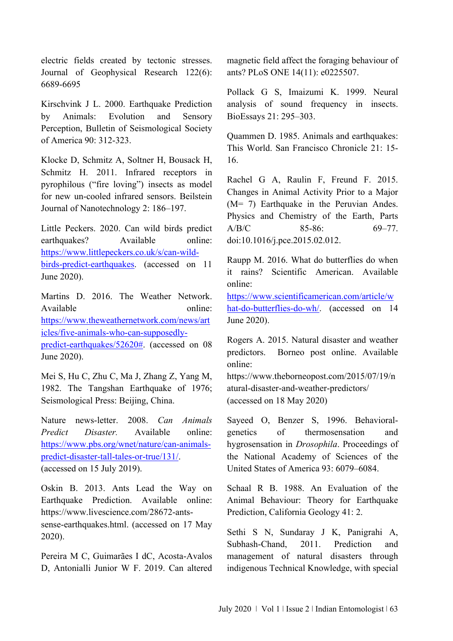electric fields created by tectonic stresses. Journal of Geophysical Research 122(6): 6689-6695

Kirschvink J L. 2000. Earthquake Prediction by Animals: Evolution and Sensory Perception, Bulletin of Seismological Society of America 90: 312-323.

Klocke D, Schmitz A, Soltner H, Bousack H, Schmitz H. 2011. Infrared receptors in pyrophilous ("fire loving") insects as model for new un-cooled infrared sensors. Beilstein Journal of Nanotechnology 2: 186–197.

Little Peckers. 2020. Can wild birds predict earthquakes? Available online: [https://www.littlepeckers.co.uk/s/can-wild](https://www.littlepeckers.co.uk/s/can-wild-birds-predict-earthquakes)[birds-predict-earthquakes.](https://www.littlepeckers.co.uk/s/can-wild-birds-predict-earthquakes) (accessed on 11 June 2020).

Martins D. 2016. The Weather Network. Available online: [https://www.theweathernetwork.com/news/art](https://www.theweathernetwork.com/news/articles/five-animals-who-can-supposedly-predict-earthquakes/52620) [icles/five-animals-who-can-supposedly](https://www.theweathernetwork.com/news/articles/five-animals-who-can-supposedly-predict-earthquakes/52620)[predict-earthquakes/52620#.](https://www.theweathernetwork.com/news/articles/five-animals-who-can-supposedly-predict-earthquakes/52620) (accessed on 08 June 2020).

Mei S, Hu C, Zhu C, Ma J, Zhang Z, Yang M, 1982. The Tangshan Earthquake of 1976; Seismological Press: Beijing, China.

Nature news-letter. 2008. *Can Animals Predict Disaster.* Available online: [https://www.pbs.org/wnet/nature/can-animals](https://www.pbs.org/wnet/nature/can-animals-predict-disaster-tall-tales-or-true/131/)[predict-disaster-tall-tales-or-true/131/.](https://www.pbs.org/wnet/nature/can-animals-predict-disaster-tall-tales-or-true/131/) (accessed on 15 July 2019).

Oskin B. 2013. Ants Lead the Way on Earthquake Prediction. Available online: https://www.livescience.com/28672-antssense-earthquakes.html. (accessed on 17 May 2020).

Pereira M C, Guimarães I dC, Acosta-Avalos D, Antonialli Junior W F. 2019. Can altered

magnetic field affect the foraging behaviour of ants? PLoS ONE 14(11): e0225507.

Pollack G S, Imaizumi K. 1999. Neural analysis of sound frequency in insects. BioEssays 21: 295–303.

Quammen D. 1985. Animals and earthquakes: This World. San Francisco Chronicle 21: 15- 16.

Rachel G A, Raulin F, Freund F. 2015. Changes in Animal Activity Prior to a Major (M= 7) Earthquake in the Peruvian Andes. Physics and Chemistry of the Earth, Parts A/B/C 85-86: 69-77. doi:10.1016/j.pce.2015.02.012.

Raupp M. 2016. What do butterflies do when it rains? Scientific American. Available online:

[https://www.scientificamerican.com/article/w](https://www.scientificamerican.com/article/what-do-butterflies-do-wh/) [hat-do-butterflies-do-wh/.](https://www.scientificamerican.com/article/what-do-butterflies-do-wh/) (accessed on 14 June 2020).

Rogers A. 2015. Natural disaster and weather predictors. Borneo post online. Available online:

https://www.theborneopost.com/2015/07/19/n atural-disaster-and-weather-predictors/ (accessed on 18 May 2020)

Sayeed O, Benzer S, 1996. Behavioralgenetics of thermosensation and hygrosensation in *Drosophila*. Proceedings of the National Academy of Sciences of the United States of America 93: 6079–6084.

Schaal R B. 1988. An Evaluation of the Animal Behaviour: Theory for Earthquake Prediction, California Geology 41: 2.

Sethi S N, Sundaray J K, Panigrahi A, Subhash-Chand, 2011. Prediction and management of natural disasters through indigenous Technical Knowledge, with special